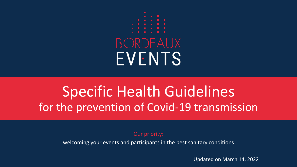

# Specific Health Guidelines for the prevention of Covid-19 transmission

Our priority:

welcoming your events and participants in the best sanitary conditions

Updated on March 14, 2022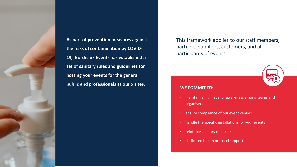

**As part of prevention measures against the risks of contamination by COVID-19, Bordeaux Events has established a set of sanitary rules and guidelines for hosting your events for the general public and professionals at our 5 sites.**

This framework applies to our staff members, partners, suppliers, customers, and all participants of events.

#### **WE COMMIT TO:**

- maintain a high level of awareness among teams and organisers
- ensure compliance of our event venues
- handle the specific installations for your events
- reinforce sanitary measures
- dedicated health protocol support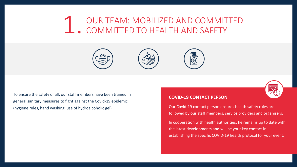## OUR TEAM: MOBILIZED AND COMMITTED COMMITTED TO HEALTH AND SAFETY 1.





To ensure the safety of all, our staff members have been trained in general sanitary measures to fight against the Covid-19 epidemic (hygiene rules, hand washing, use of hydroalcoholic gel)

#### **COVID-19 CONTACT PERSON**

Our Covid-19 contact person ensures health safety rules are followed by our staff members, service providers and organisers.

In cooperation with health authorities, he remains up to date with the latest developments and will be your key contact in establishing the specific COVID-19 health protocol for your event.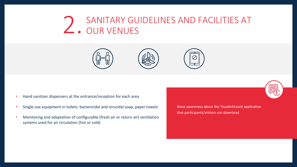# SANITARY GUIDELINES AND FACILITIES AT 2. OUR VENUES





- Single-use equipment in toilets: bactericidal and virucidal soap, paper towels
- Monitoring and adaptation of configurable (fresh air or return air) ventilation systems used for air circulation (hot or cold)

Raise awareness about the TousAnticovid application that participants/visitors can download

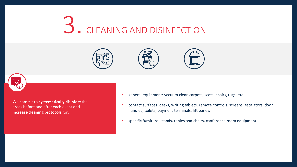## CLEANING AND DISINFECTION 3.









We commit to **systematically disinfect** the areas before and after each event and **increase cleaning protocols** for:

- general equipment: vacuum clean carpets, seats, chairs, rugs, etc.
- contact surfaces: desks, writing tablets, remote controls, screens, escalators, door handles, toilets, payment terminals, lift panels
- specific furniture: stands, tables and chairs, conference room equipment